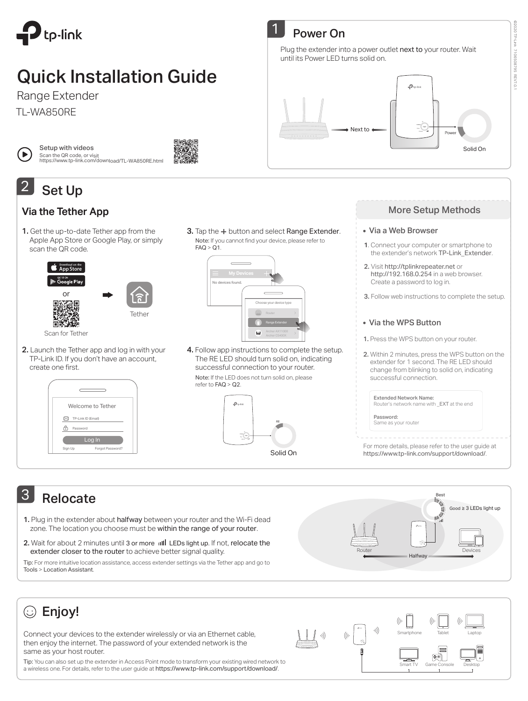

# Quick Installation Guide

Range Extender

TL-WA850RE



Setup with videos Scan the QR code, or visit https://www.tp-link.com/download/TL-WA850RE.html

### Set Up 2

### Via the Tether App

1. Get the up-to-date Tether app from the Apple App Store or Google Play, or simply scan the QR code.

> **Conduct App Store**  $\triangleright$  Google Play or Tether Router 匠 Scan for Tether

2. Launch the Tether app and log in with your TP-Link ID. If you don't have an account, create one first.



Note: If you cannot find your device, please refer to  $FAQ > Q1$ .  $\overline{a}$ No devices found.  $\subset$ 

se your device type

Range Extender

3. Tap the  $+$  button and select Range Extender.





### Power On

Plug the extender into a power outlet next to your router. Wait until its Power LED turns solid on.



### More Setup Methods

©2020 TP-Link

**2020 TP-Link** 

7106508795 REV7.0.1

REV7.0.

7106508795

#### Via a Web Browser

- **1**. Connect your computer or smartphone to the extender's network TP-Link\_Extender.
- 2. Visit http://tplinkrepeater.net or http://192.168.0.254 in a web browser. Create a password to log in.
- 3. Follow web instructions to complete the setup.

#### • Via the WPS Button

- 1. Press the WPS button on your router.
- 2. Within 2 minutes, press the WPS button on the extender for 1 second. The RE LED should change from blinking to solid on, indicating successful connection.

| <b>Extended Network Name:</b><br>Router's network name with EXT at the end |
|----------------------------------------------------------------------------|
| Password:<br>Same as your router                                           |

For more details, please refer to the user guide at https://www.tp-link.com/support/download/.

## 3 Relocate

- 1. Plug in the extender about halfway between your router and the Wi-Fi dead zone. The location you choose must be within the range of your router.
- 2. Wait for about 2 minutes until 3 or more uill LEDs light up. If not, relocate the extender closer to the router to achieve better signal quality.

Tip: For more intuitive location assistance, access extender settings via the Tether app and go to Tools > Location Assistant.



·))

Smartphone lablet Laptop

Smart IV Game Console Desktop

 $\boxed{\oplus\odot}$ 

## Enjoy!

Connect your devices to the extender wirelessly or via an Ethernet cable, then enjoy the internet. The password of your extended network is the same as your host router.

Tip: You can also set up the extender in Access Point mode to transform your existing wired network to a wireless one. For details, refer to the user guide at https://www.tp-link.com/support/download/.